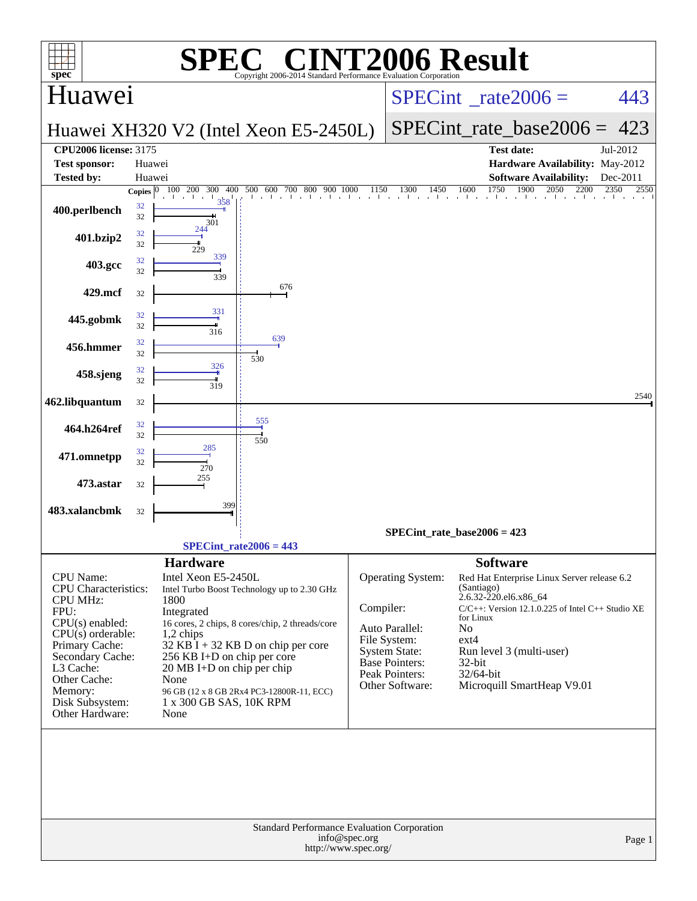|                                               |                          |                                    | $\bigcap$                                                       |               |                                        | <b>[2006 Result</b>                                                            |              |
|-----------------------------------------------|--------------------------|------------------------------------|-----------------------------------------------------------------|---------------|----------------------------------------|--------------------------------------------------------------------------------|--------------|
| $spec^*$                                      |                          |                                    | Copyright 2006-2014 Standard Performance Evaluation Corporation |               |                                        |                                                                                |              |
| Huawei                                        |                          |                                    |                                                                 |               | $SPECint^{\circ}$ rate $2006 =$        | 443                                                                            |              |
|                                               |                          |                                    | Huawei XH320 V2 (Intel Xeon E5-2450L)                           |               | SPECint rate base $2006 = 423$         |                                                                                |              |
| <b>CPU2006 license: 3175</b><br>Test sponsor: | Huawei                   |                                    |                                                                 |               |                                        | <b>Test date:</b><br>Hardware Availability: May-2012                           | Jul-2012     |
| <b>Tested by:</b>                             | Huawei                   |                                    |                                                                 |               |                                        | <b>Software Availability:</b>                                                  | Dec-2011     |
|                                               | Copies $ 0\rangle$<br>32 | 100 200 300 400<br>358             | 500 600 700 800 900 1000<br>1 . 1 . 1 . 1 . 1                   | 1150          | 1300<br>1450                           | 1750<br>1900<br>2050<br>2200<br>1600<br>and a collective<br><b>The County</b>  | 2350<br>2550 |
| 400.perlbench                                 | 32                       | 301                                |                                                                 |               |                                        |                                                                                |              |
| 401.bzip2                                     | 32<br>32                 | 244<br>229                         |                                                                 |               |                                        |                                                                                |              |
| 403.gcc                                       | 32<br>32                 | 339                                |                                                                 |               |                                        |                                                                                |              |
| 429.mcf                                       | 32                       | 339                                | 676                                                             |               |                                        |                                                                                |              |
|                                               | 32                       | 331                                |                                                                 |               |                                        |                                                                                |              |
| 445.gobmk                                     | 32                       | 316                                | 639                                                             |               |                                        |                                                                                |              |
| 456.hmmer                                     | 32<br>32                 |                                    | 530                                                             |               |                                        |                                                                                |              |
| 458.sjeng                                     | 32<br>32                 | 326<br>319                         |                                                                 |               |                                        |                                                                                |              |
| 462.libquantum                                | 32                       |                                    |                                                                 |               |                                        |                                                                                | 2540         |
| 464.h264ref                                   | 32                       |                                    | 555                                                             |               |                                        |                                                                                |              |
| 471.omnetpp                                   | 32<br>32                 | 285                                | 550                                                             |               |                                        |                                                                                |              |
|                                               | 32                       | 270<br>255                         |                                                                 |               |                                        |                                                                                |              |
| 473.astar                                     | 32                       |                                    |                                                                 |               |                                        |                                                                                |              |
| 483.xalancbmk                                 | 32                       | 399                                |                                                                 |               |                                        |                                                                                |              |
|                                               |                          |                                    | $SPECint_rate2006 = 443$                                        |               |                                        | $SPECint_rate_base2006 = 423$                                                  |              |
|                                               |                          | <b>Hardware</b>                    |                                                                 |               |                                        | <b>Software</b>                                                                |              |
| <b>CPU</b> Name:<br>CPU Characteristics:      |                          | Intel Xeon E5-2450L                | Intel Turbo Boost Technology up to 2.30 GHz                     |               | Operating System:                      | Red Hat Enterprise Linux Server release 6.2<br>(Santiago)                      |              |
| <b>CPU MHz:</b><br>FPU:                       |                          | 1800<br>Integrated                 |                                                                 | Compiler:     |                                        | 2.6.32-220.el6.x86_64<br>$C/C++$ : Version 12.1.0.225 of Intel $C++$ Studio XE |              |
| CPU(s) enabled:                               |                          |                                    | 16 cores, 2 chips, 8 cores/chip, 2 threads/core                 |               | Auto Parallel:                         | for Linux<br>N <sub>o</sub>                                                    |              |
| $CPU(s)$ orderable:<br>Primary Cache:         |                          | $1,2$ chips                        | $32$ KB I + 32 KB D on chip per core                            |               | File System:                           | $ext{4}$                                                                       |              |
| Secondary Cache:                              |                          | 256 KB I+D on chip per core        |                                                                 |               | <b>System State:</b><br>Base Pointers: | Run level 3 (multi-user)<br>32-bit                                             |              |
| L3 Cache:<br>Other Cache:                     |                          | 20 MB I+D on chip per chip<br>None |                                                                 |               | Peak Pointers:                         | 32/64-bit                                                                      |              |
| Memory:                                       |                          |                                    | 96 GB (12 x 8 GB 2Rx4 PC3-12800R-11, ECC)                       |               | Other Software:                        | Microquill SmartHeap V9.01                                                     |              |
| Disk Subsystem:<br>Other Hardware:            |                          | 1 x 300 GB SAS, 10K RPM<br>None    |                                                                 |               |                                        |                                                                                |              |
|                                               |                          |                                    |                                                                 |               |                                        |                                                                                |              |
|                                               |                          |                                    |                                                                 |               |                                        |                                                                                |              |
|                                               |                          |                                    |                                                                 |               |                                        |                                                                                |              |
|                                               |                          |                                    |                                                                 |               |                                        |                                                                                |              |
|                                               |                          |                                    | Standard Performance Evaluation Corporation                     |               |                                        |                                                                                |              |
|                                               |                          |                                    | http://www.spec.org/                                            | info@spec.org |                                        |                                                                                | Page 1       |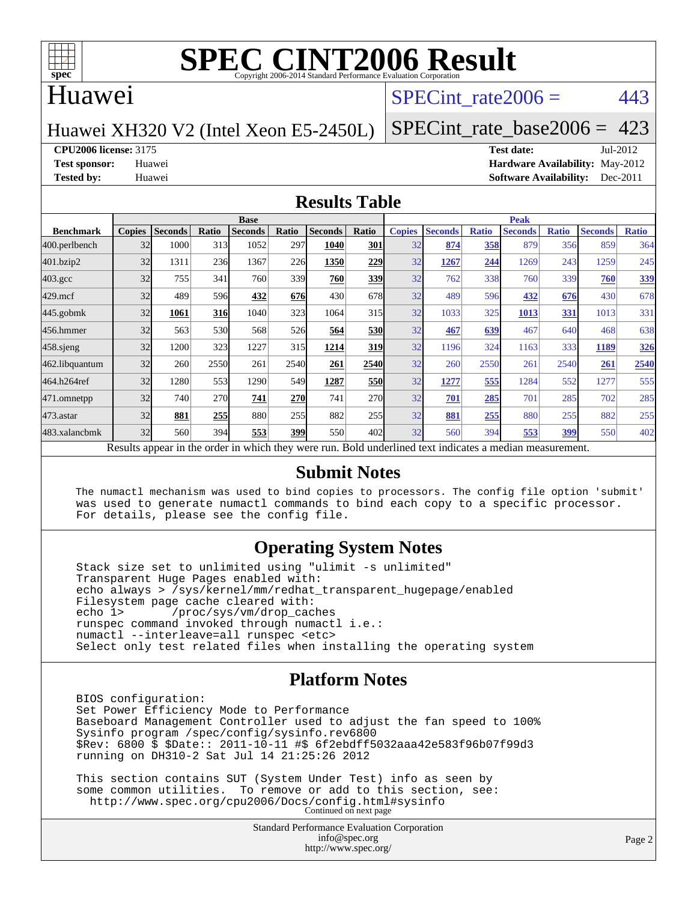

#### Huawei

#### SPECint rate $2006 = 443$

#### Huawei XH320 V2 (Intel Xeon E5-2450L)

[SPECint\\_rate\\_base2006 =](http://www.spec.org/auto/cpu2006/Docs/result-fields.html#SPECintratebase2006) 423

**[CPU2006 license:](http://www.spec.org/auto/cpu2006/Docs/result-fields.html#CPU2006license)** 3175 **[Test date:](http://www.spec.org/auto/cpu2006/Docs/result-fields.html#Testdate)** Jul-2012

**[Test sponsor:](http://www.spec.org/auto/cpu2006/Docs/result-fields.html#Testsponsor)** Huawei **[Hardware Availability:](http://www.spec.org/auto/cpu2006/Docs/result-fields.html#HardwareAvailability)** May-2012 **[Tested by:](http://www.spec.org/auto/cpu2006/Docs/result-fields.html#Testedby)** Huawei **[Software Availability:](http://www.spec.org/auto/cpu2006/Docs/result-fields.html#SoftwareAvailability)** Dec-2011

#### **[Results Table](http://www.spec.org/auto/cpu2006/Docs/result-fields.html#ResultsTable)**

|                                                                                                          | <b>Base</b>   |                |       |                |       |                |            | <b>Peak</b>   |                |              |                |              |                |              |
|----------------------------------------------------------------------------------------------------------|---------------|----------------|-------|----------------|-------|----------------|------------|---------------|----------------|--------------|----------------|--------------|----------------|--------------|
| <b>Benchmark</b>                                                                                         | <b>Copies</b> | <b>Seconds</b> | Ratio | <b>Seconds</b> | Ratio | <b>Seconds</b> | Ratio      | <b>Copies</b> | <b>Seconds</b> | <b>Ratio</b> | <b>Seconds</b> | <b>Ratio</b> | <b>Seconds</b> | <b>Ratio</b> |
| 400.perlbench                                                                                            | 32            | 1000           | 313   | 1052           | 297   | 1040           | 301        | 32            | 874            | 358          | 879            | 356          | 859            | 364          |
| 401.bzip2                                                                                                | 32            | 1311           | 236   | 1367           | 226   | 1350           | 229        | 32            | 1267           | 244          | 1269           | 243          | 1259           | 245          |
| $403.\mathrm{gcc}$                                                                                       | 32            | 755            | 341   | 760            | 339   | 760            | 339        | 32            | 762            | 338          | 760            | 339          | 760            | 339          |
| $429$ .mcf                                                                                               | 32            | 489            | 596   | 432            | 676   | 430            | 678        | 32            | 489            | 596          | 432            | 676          | 430            | 678          |
| $445$ .gobm $k$                                                                                          | 32            | 1061           | 316   | 1040           | 323   | 1064           | 315        | 32            | 1033           | 325          | 1013           | 331          | 1013           | 331          |
| 456.hmmer                                                                                                | 32            | 563            | 530   | 568            | 526   | 564            | <b>530</b> | 32            | 467            | 639          | 467            | 640          | 468            | 638          |
| 458 sjeng                                                                                                | 32            | 1200           | 323   | 1227           | 315   | 1214           | <b>319</b> | 32            | 1196           | 324          | 1163           | 333          | 1189           | <u>326</u>   |
| 462.libquantum                                                                                           | 32            | 260            | 2550  | 261            | 2540  | 261            | 2540       | 32            | 260            | 2550         | 261            | 2540         | 261            | 2540         |
| 464.h264ref                                                                                              | 32            | 1280           | 553   | 1290           | 549   | 1287           | <b>550</b> | 32            | 1277           | 555          | 1284           | 552          | 1277           | 555          |
| 471.omnetpp                                                                                              | 32            | 740            | 270   | 741            | 270   | 741            | 270        | 32            | 701            | 285          | 701            | 285          | 702            | 285          |
| $473.$ astar                                                                                             | 32            | 881            | 255   | 880            | 255   | 882            | 255        | 32            | 881            | 255          | 880            | 255          | 882            | 255          |
| 483.xalancbmk                                                                                            | 32            | 560            | 394   | 553            | 399   | 550            | 402        | 32            | 560            | 394          | 553            | 399          | 550            | 402          |
| Results appear in the order in which they were run. Bold underlined text indicates a median measurement. |               |                |       |                |       |                |            |               |                |              |                |              |                |              |

#### **[Submit Notes](http://www.spec.org/auto/cpu2006/Docs/result-fields.html#SubmitNotes)**

 The numactl mechanism was used to bind copies to processors. The config file option 'submit' was used to generate numactl commands to bind each copy to a specific processor. For details, please see the config file.

#### **[Operating System Notes](http://www.spec.org/auto/cpu2006/Docs/result-fields.html#OperatingSystemNotes)**

 Stack size set to unlimited using "ulimit -s unlimited" Transparent Huge Pages enabled with: echo always > /sys/kernel/mm/redhat\_transparent\_hugepage/enabled Filesystem page cache cleared with:<br>echo 1> /proc/sys/vm/drop cac /proc/sys/vm/drop\_caches runspec command invoked through numactl i.e.: numactl --interleave=all runspec <etc> Select only test related files when installing the operating system

#### **[Platform Notes](http://www.spec.org/auto/cpu2006/Docs/result-fields.html#PlatformNotes)**

 BIOS configuration: Set Power Efficiency Mode to Performance Baseboard Management Controller used to adjust the fan speed to 100% Sysinfo program /spec/config/sysinfo.rev6800 \$Rev: 6800 \$ \$Date:: 2011-10-11 #\$ 6f2ebdff5032aaa42e583f96b07f99d3 running on DH310-2 Sat Jul 14 21:25:26 2012

 This section contains SUT (System Under Test) info as seen by some common utilities. To remove or add to this section, see: <http://www.spec.org/cpu2006/Docs/config.html#sysinfo> Continued on next page

> Standard Performance Evaluation Corporation [info@spec.org](mailto:info@spec.org) <http://www.spec.org/>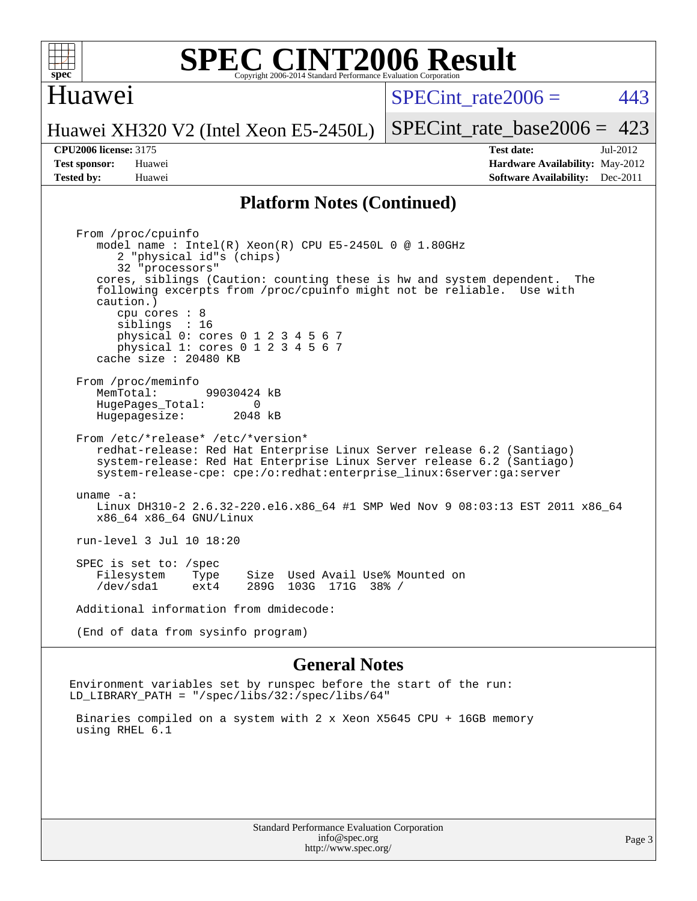

#### Huawei

SPECint rate $2006 = 443$ 

Huawei XH320 V2 (Intel Xeon E5-2450L)

[SPECint\\_rate\\_base2006 =](http://www.spec.org/auto/cpu2006/Docs/result-fields.html#SPECintratebase2006)  $423$ 

**[Tested by:](http://www.spec.org/auto/cpu2006/Docs/result-fields.html#Testedby)** Huawei **[Software Availability:](http://www.spec.org/auto/cpu2006/Docs/result-fields.html#SoftwareAvailability)** Dec-2011

**[CPU2006 license:](http://www.spec.org/auto/cpu2006/Docs/result-fields.html#CPU2006license)** 3175 **[Test date:](http://www.spec.org/auto/cpu2006/Docs/result-fields.html#Testdate)** Jul-2012 **[Test sponsor:](http://www.spec.org/auto/cpu2006/Docs/result-fields.html#Testsponsor)** Huawei **[Hardware Availability:](http://www.spec.org/auto/cpu2006/Docs/result-fields.html#HardwareAvailability)** May-2012

#### **[Platform Notes \(Continued\)](http://www.spec.org/auto/cpu2006/Docs/result-fields.html#PlatformNotes)**

 From /proc/cpuinfo model name : Intel(R) Xeon(R) CPU E5-2450L 0 @ 1.80GHz 2 "physical id"s (chips) 32 "processors" cores, siblings (Caution: counting these is hw and system dependent. The following excerpts from /proc/cpuinfo might not be reliable. Use with caution.) cpu cores : 8 siblings : 16 physical 0: cores 0 1 2 3 4 5 6 7 physical 1: cores 0 1 2 3 4 5 6 7 cache size : 20480 KB From /proc/meminfo MemTotal: 99030424 kB<br>HugePages Total: 0 HugePages\_Total: 0 Hugepagesize: 2048 kB From /etc/\*release\* /etc/\*version\* redhat-release: Red Hat Enterprise Linux Server release 6.2 (Santiago) system-release: Red Hat Enterprise Linux Server release 6.2 (Santiago) system-release-cpe: cpe:/o:redhat:enterprise\_linux:6server:ga:server uname -a: Linux DH310-2 2.6.32-220.el6.x86\_64 #1 SMP Wed Nov 9 08:03:13 EST 2011 x86\_64 x86\_64 x86\_64 GNU/Linux run-level 3 Jul 10 18:20 SPEC is set to: /spec Filesystem Type Size Used Avail Use% Mounted on /dev/sda1 ext4 289G 103G 171G 38% / Additional information from dmidecode: (End of data from sysinfo program)

#### **[General Notes](http://www.spec.org/auto/cpu2006/Docs/result-fields.html#GeneralNotes)**

Environment variables set by runspec before the start of the run: LD\_LIBRARY\_PATH = "/spec/libs/32:/spec/libs/64"

 Binaries compiled on a system with 2 x Xeon X5645 CPU + 16GB memory using RHEL 6.1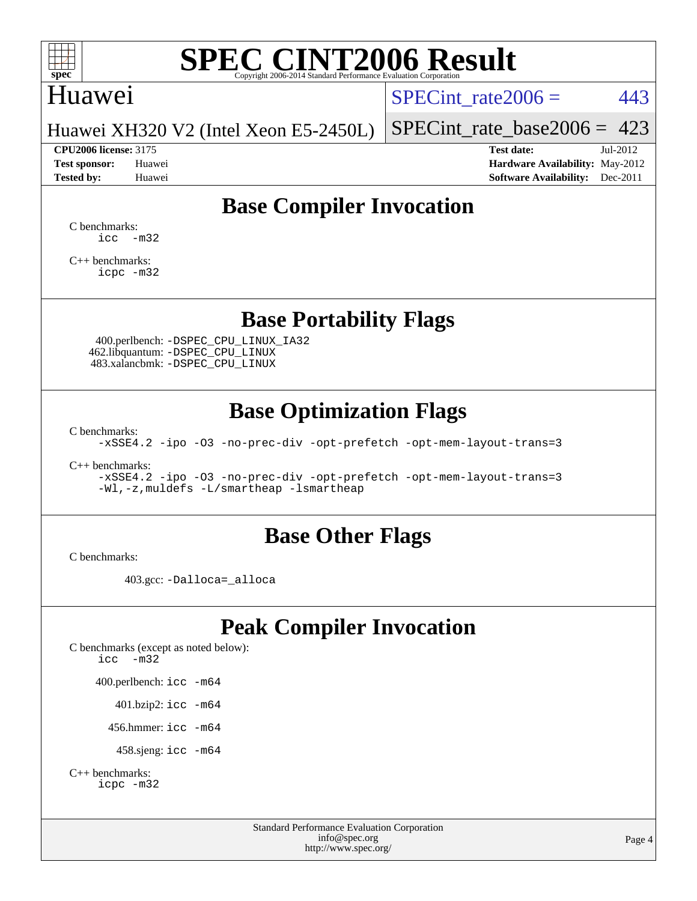

#### Huawei

SPECint rate $2006 = 443$ 

Huawei XH320 V2 (Intel Xeon E5-2450L)

[SPECint\\_rate\\_base2006 =](http://www.spec.org/auto/cpu2006/Docs/result-fields.html#SPECintratebase2006)  $423$ **[CPU2006 license:](http://www.spec.org/auto/cpu2006/Docs/result-fields.html#CPU2006license)** 3175 **[Test date:](http://www.spec.org/auto/cpu2006/Docs/result-fields.html#Testdate)** Jul-2012

**[Test sponsor:](http://www.spec.org/auto/cpu2006/Docs/result-fields.html#Testsponsor)** Huawei **[Hardware Availability:](http://www.spec.org/auto/cpu2006/Docs/result-fields.html#HardwareAvailability)** May-2012 **[Tested by:](http://www.spec.org/auto/cpu2006/Docs/result-fields.html#Testedby)** Huawei **[Software Availability:](http://www.spec.org/auto/cpu2006/Docs/result-fields.html#SoftwareAvailability)** Dec-2011

# **[Base Compiler Invocation](http://www.spec.org/auto/cpu2006/Docs/result-fields.html#BaseCompilerInvocation)**

[C benchmarks](http://www.spec.org/auto/cpu2006/Docs/result-fields.html#Cbenchmarks):  $\text{icc}$   $-\text{m32}$ 

[C++ benchmarks:](http://www.spec.org/auto/cpu2006/Docs/result-fields.html#CXXbenchmarks) [icpc -m32](http://www.spec.org/cpu2006/results/res2012q3/cpu2006-20120723-23811.flags.html#user_CXXbase_intel_icpc_4e5a5ef1a53fd332b3c49e69c3330699)

**[Base Portability Flags](http://www.spec.org/auto/cpu2006/Docs/result-fields.html#BasePortabilityFlags)**

 400.perlbench: [-DSPEC\\_CPU\\_LINUX\\_IA32](http://www.spec.org/cpu2006/results/res2012q3/cpu2006-20120723-23811.flags.html#b400.perlbench_baseCPORTABILITY_DSPEC_CPU_LINUX_IA32) 462.libquantum: [-DSPEC\\_CPU\\_LINUX](http://www.spec.org/cpu2006/results/res2012q3/cpu2006-20120723-23811.flags.html#b462.libquantum_baseCPORTABILITY_DSPEC_CPU_LINUX) 483.xalancbmk: [-DSPEC\\_CPU\\_LINUX](http://www.spec.org/cpu2006/results/res2012q3/cpu2006-20120723-23811.flags.html#b483.xalancbmk_baseCXXPORTABILITY_DSPEC_CPU_LINUX)

## **[Base Optimization Flags](http://www.spec.org/auto/cpu2006/Docs/result-fields.html#BaseOptimizationFlags)**

[C benchmarks](http://www.spec.org/auto/cpu2006/Docs/result-fields.html#Cbenchmarks):

[-xSSE4.2](http://www.spec.org/cpu2006/results/res2012q3/cpu2006-20120723-23811.flags.html#user_CCbase_f-xSSE42_f91528193cf0b216347adb8b939d4107) [-ipo](http://www.spec.org/cpu2006/results/res2012q3/cpu2006-20120723-23811.flags.html#user_CCbase_f-ipo) [-O3](http://www.spec.org/cpu2006/results/res2012q3/cpu2006-20120723-23811.flags.html#user_CCbase_f-O3) [-no-prec-div](http://www.spec.org/cpu2006/results/res2012q3/cpu2006-20120723-23811.flags.html#user_CCbase_f-no-prec-div) [-opt-prefetch](http://www.spec.org/cpu2006/results/res2012q3/cpu2006-20120723-23811.flags.html#user_CCbase_f-opt-prefetch) [-opt-mem-layout-trans=3](http://www.spec.org/cpu2006/results/res2012q3/cpu2006-20120723-23811.flags.html#user_CCbase_f-opt-mem-layout-trans_a7b82ad4bd7abf52556d4961a2ae94d5)

[C++ benchmarks:](http://www.spec.org/auto/cpu2006/Docs/result-fields.html#CXXbenchmarks)

[-xSSE4.2](http://www.spec.org/cpu2006/results/res2012q3/cpu2006-20120723-23811.flags.html#user_CXXbase_f-xSSE42_f91528193cf0b216347adb8b939d4107) [-ipo](http://www.spec.org/cpu2006/results/res2012q3/cpu2006-20120723-23811.flags.html#user_CXXbase_f-ipo) [-O3](http://www.spec.org/cpu2006/results/res2012q3/cpu2006-20120723-23811.flags.html#user_CXXbase_f-O3) [-no-prec-div](http://www.spec.org/cpu2006/results/res2012q3/cpu2006-20120723-23811.flags.html#user_CXXbase_f-no-prec-div) [-opt-prefetch](http://www.spec.org/cpu2006/results/res2012q3/cpu2006-20120723-23811.flags.html#user_CXXbase_f-opt-prefetch) [-opt-mem-layout-trans=3](http://www.spec.org/cpu2006/results/res2012q3/cpu2006-20120723-23811.flags.html#user_CXXbase_f-opt-mem-layout-trans_a7b82ad4bd7abf52556d4961a2ae94d5) [-Wl,-z,muldefs](http://www.spec.org/cpu2006/results/res2012q3/cpu2006-20120723-23811.flags.html#user_CXXbase_link_force_multiple1_74079c344b956b9658436fd1b6dd3a8a) [-L/smartheap -lsmartheap](http://www.spec.org/cpu2006/results/res2012q3/cpu2006-20120723-23811.flags.html#user_CXXbase_SmartHeap_7c9e394a5779e1a7fec7c221e123830c)

#### **[Base Other Flags](http://www.spec.org/auto/cpu2006/Docs/result-fields.html#BaseOtherFlags)**

[C benchmarks](http://www.spec.org/auto/cpu2006/Docs/result-fields.html#Cbenchmarks):

403.gcc: [-Dalloca=\\_alloca](http://www.spec.org/cpu2006/results/res2012q3/cpu2006-20120723-23811.flags.html#b403.gcc_baseEXTRA_CFLAGS_Dalloca_be3056838c12de2578596ca5467af7f3)

# **[Peak Compiler Invocation](http://www.spec.org/auto/cpu2006/Docs/result-fields.html#PeakCompilerInvocation)**

[C benchmarks \(except as noted below\)](http://www.spec.org/auto/cpu2006/Docs/result-fields.html#Cbenchmarksexceptasnotedbelow): [icc -m32](http://www.spec.org/cpu2006/results/res2012q3/cpu2006-20120723-23811.flags.html#user_CCpeak_intel_icc_5ff4a39e364c98233615fdd38438c6f2) 400.perlbench: [icc -m64](http://www.spec.org/cpu2006/results/res2012q3/cpu2006-20120723-23811.flags.html#user_peakCCLD400_perlbench_intel_icc_64bit_bda6cc9af1fdbb0edc3795bac97ada53) 401.bzip2: [icc -m64](http://www.spec.org/cpu2006/results/res2012q3/cpu2006-20120723-23811.flags.html#user_peakCCLD401_bzip2_intel_icc_64bit_bda6cc9af1fdbb0edc3795bac97ada53)

456.hmmer: [icc -m64](http://www.spec.org/cpu2006/results/res2012q3/cpu2006-20120723-23811.flags.html#user_peakCCLD456_hmmer_intel_icc_64bit_bda6cc9af1fdbb0edc3795bac97ada53)

458.sjeng: [icc -m64](http://www.spec.org/cpu2006/results/res2012q3/cpu2006-20120723-23811.flags.html#user_peakCCLD458_sjeng_intel_icc_64bit_bda6cc9af1fdbb0edc3795bac97ada53)

```
C++ benchmarks: 
icpc -m32
```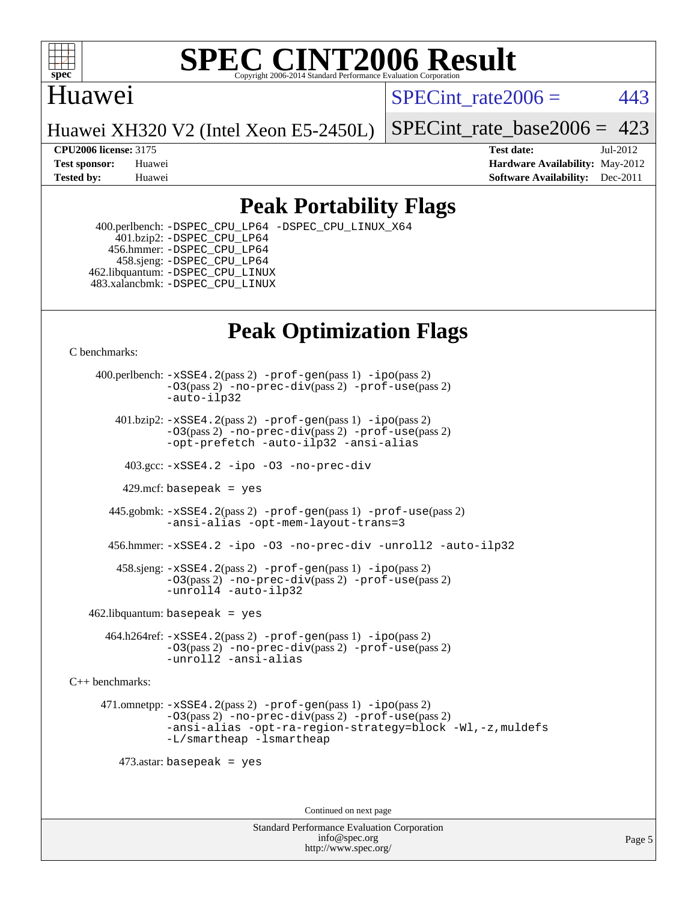

#### **[SPEC CINT2006 Result](http://www.spec.org/auto/cpu2006/Docs/result-fields.html#SPECCINT2006Result)** Copyright 2006-2014 Standard Performance Evaluation C

## Huawei

SPECint rate $2006 = 443$ 

Huawei XH320 V2 (Intel Xeon E5-2450L)

[SPECint\\_rate\\_base2006 =](http://www.spec.org/auto/cpu2006/Docs/result-fields.html#SPECintratebase2006) 423

**[CPU2006 license:](http://www.spec.org/auto/cpu2006/Docs/result-fields.html#CPU2006license)** 3175 **[Test date:](http://www.spec.org/auto/cpu2006/Docs/result-fields.html#Testdate)** Jul-2012 **[Test sponsor:](http://www.spec.org/auto/cpu2006/Docs/result-fields.html#Testsponsor)** Huawei **[Hardware Availability:](http://www.spec.org/auto/cpu2006/Docs/result-fields.html#HardwareAvailability)** May-2012 **[Tested by:](http://www.spec.org/auto/cpu2006/Docs/result-fields.html#Testedby)** Huawei **[Software Availability:](http://www.spec.org/auto/cpu2006/Docs/result-fields.html#SoftwareAvailability)** Dec-2011

# **[Peak Portability Flags](http://www.spec.org/auto/cpu2006/Docs/result-fields.html#PeakPortabilityFlags)**

 400.perlbench: [-DSPEC\\_CPU\\_LP64](http://www.spec.org/cpu2006/results/res2012q3/cpu2006-20120723-23811.flags.html#b400.perlbench_peakCPORTABILITY_DSPEC_CPU_LP64) [-DSPEC\\_CPU\\_LINUX\\_X64](http://www.spec.org/cpu2006/results/res2012q3/cpu2006-20120723-23811.flags.html#b400.perlbench_peakCPORTABILITY_DSPEC_CPU_LINUX_X64) 401.bzip2: [-DSPEC\\_CPU\\_LP64](http://www.spec.org/cpu2006/results/res2012q3/cpu2006-20120723-23811.flags.html#suite_peakCPORTABILITY401_bzip2_DSPEC_CPU_LP64) 456.hmmer: [-DSPEC\\_CPU\\_LP64](http://www.spec.org/cpu2006/results/res2012q3/cpu2006-20120723-23811.flags.html#suite_peakCPORTABILITY456_hmmer_DSPEC_CPU_LP64) 458.sjeng: [-DSPEC\\_CPU\\_LP64](http://www.spec.org/cpu2006/results/res2012q3/cpu2006-20120723-23811.flags.html#suite_peakCPORTABILITY458_sjeng_DSPEC_CPU_LP64) 462.libquantum: [-DSPEC\\_CPU\\_LINUX](http://www.spec.org/cpu2006/results/res2012q3/cpu2006-20120723-23811.flags.html#b462.libquantum_peakCPORTABILITY_DSPEC_CPU_LINUX) 483.xalancbmk: [-DSPEC\\_CPU\\_LINUX](http://www.spec.org/cpu2006/results/res2012q3/cpu2006-20120723-23811.flags.html#b483.xalancbmk_peakCXXPORTABILITY_DSPEC_CPU_LINUX)

# **[Peak Optimization Flags](http://www.spec.org/auto/cpu2006/Docs/result-fields.html#PeakOptimizationFlags)**

[C benchmarks](http://www.spec.org/auto/cpu2006/Docs/result-fields.html#Cbenchmarks):

 400.perlbench: [-xSSE4.2](http://www.spec.org/cpu2006/results/res2012q3/cpu2006-20120723-23811.flags.html#user_peakPASS2_CFLAGSPASS2_LDCFLAGS400_perlbench_f-xSSE42_f91528193cf0b216347adb8b939d4107)(pass 2) [-prof-gen](http://www.spec.org/cpu2006/results/res2012q3/cpu2006-20120723-23811.flags.html#user_peakPASS1_CFLAGSPASS1_LDCFLAGS400_perlbench_prof_gen_e43856698f6ca7b7e442dfd80e94a8fc)(pass 1) [-ipo](http://www.spec.org/cpu2006/results/res2012q3/cpu2006-20120723-23811.flags.html#user_peakPASS2_CFLAGSPASS2_LDCFLAGS400_perlbench_f-ipo)(pass 2) [-O3](http://www.spec.org/cpu2006/results/res2012q3/cpu2006-20120723-23811.flags.html#user_peakPASS2_CFLAGSPASS2_LDCFLAGS400_perlbench_f-O3)(pass 2) [-no-prec-div](http://www.spec.org/cpu2006/results/res2012q3/cpu2006-20120723-23811.flags.html#user_peakPASS2_CFLAGSPASS2_LDCFLAGS400_perlbench_f-no-prec-div)(pass 2) [-prof-use](http://www.spec.org/cpu2006/results/res2012q3/cpu2006-20120723-23811.flags.html#user_peakPASS2_CFLAGSPASS2_LDCFLAGS400_perlbench_prof_use_bccf7792157ff70d64e32fe3e1250b55)(pass 2) [-auto-ilp32](http://www.spec.org/cpu2006/results/res2012q3/cpu2006-20120723-23811.flags.html#user_peakCOPTIMIZE400_perlbench_f-auto-ilp32)  $401.bzip2: -xSSE4.2(pass 2) -prof-qen(pass 1) -ipo(pass 2)$  $401.bzip2: -xSSE4.2(pass 2) -prof-qen(pass 1) -ipo(pass 2)$  $401.bzip2: -xSSE4.2(pass 2) -prof-qen(pass 1) -ipo(pass 2)$  $401.bzip2: -xSSE4.2(pass 2) -prof-qen(pass 1) -ipo(pass 2)$  $401.bzip2: -xSSE4.2(pass 2) -prof-qen(pass 1) -ipo(pass 2)$ [-O3](http://www.spec.org/cpu2006/results/res2012q3/cpu2006-20120723-23811.flags.html#user_peakPASS2_CFLAGSPASS2_LDCFLAGS401_bzip2_f-O3)(pass 2) [-no-prec-div](http://www.spec.org/cpu2006/results/res2012q3/cpu2006-20120723-23811.flags.html#user_peakPASS2_CFLAGSPASS2_LDCFLAGS401_bzip2_f-no-prec-div)(pass 2) [-prof-use](http://www.spec.org/cpu2006/results/res2012q3/cpu2006-20120723-23811.flags.html#user_peakPASS2_CFLAGSPASS2_LDCFLAGS401_bzip2_prof_use_bccf7792157ff70d64e32fe3e1250b55)(pass 2) [-opt-prefetch](http://www.spec.org/cpu2006/results/res2012q3/cpu2006-20120723-23811.flags.html#user_peakCOPTIMIZE401_bzip2_f-opt-prefetch) [-auto-ilp32](http://www.spec.org/cpu2006/results/res2012q3/cpu2006-20120723-23811.flags.html#user_peakCOPTIMIZE401_bzip2_f-auto-ilp32) [-ansi-alias](http://www.spec.org/cpu2006/results/res2012q3/cpu2006-20120723-23811.flags.html#user_peakCOPTIMIZE401_bzip2_f-ansi-alias) 403.gcc: [-xSSE4.2](http://www.spec.org/cpu2006/results/res2012q3/cpu2006-20120723-23811.flags.html#user_peakCOPTIMIZE403_gcc_f-xSSE42_f91528193cf0b216347adb8b939d4107) [-ipo](http://www.spec.org/cpu2006/results/res2012q3/cpu2006-20120723-23811.flags.html#user_peakCOPTIMIZE403_gcc_f-ipo) [-O3](http://www.spec.org/cpu2006/results/res2012q3/cpu2006-20120723-23811.flags.html#user_peakCOPTIMIZE403_gcc_f-O3) [-no-prec-div](http://www.spec.org/cpu2006/results/res2012q3/cpu2006-20120723-23811.flags.html#user_peakCOPTIMIZE403_gcc_f-no-prec-div) 429.mcf: basepeak = yes 445.gobmk: [-xSSE4.2](http://www.spec.org/cpu2006/results/res2012q3/cpu2006-20120723-23811.flags.html#user_peakPASS2_CFLAGSPASS2_LDCFLAGS445_gobmk_f-xSSE42_f91528193cf0b216347adb8b939d4107)(pass 2) [-prof-gen](http://www.spec.org/cpu2006/results/res2012q3/cpu2006-20120723-23811.flags.html#user_peakPASS1_CFLAGSPASS1_LDCFLAGS445_gobmk_prof_gen_e43856698f6ca7b7e442dfd80e94a8fc)(pass 1) [-prof-use](http://www.spec.org/cpu2006/results/res2012q3/cpu2006-20120723-23811.flags.html#user_peakPASS2_CFLAGSPASS2_LDCFLAGS445_gobmk_prof_use_bccf7792157ff70d64e32fe3e1250b55)(pass 2) [-ansi-alias](http://www.spec.org/cpu2006/results/res2012q3/cpu2006-20120723-23811.flags.html#user_peakCOPTIMIZE445_gobmk_f-ansi-alias) [-opt-mem-layout-trans=3](http://www.spec.org/cpu2006/results/res2012q3/cpu2006-20120723-23811.flags.html#user_peakCOPTIMIZE445_gobmk_f-opt-mem-layout-trans_a7b82ad4bd7abf52556d4961a2ae94d5) 456.hmmer: [-xSSE4.2](http://www.spec.org/cpu2006/results/res2012q3/cpu2006-20120723-23811.flags.html#user_peakCOPTIMIZE456_hmmer_f-xSSE42_f91528193cf0b216347adb8b939d4107) [-ipo](http://www.spec.org/cpu2006/results/res2012q3/cpu2006-20120723-23811.flags.html#user_peakCOPTIMIZE456_hmmer_f-ipo) [-O3](http://www.spec.org/cpu2006/results/res2012q3/cpu2006-20120723-23811.flags.html#user_peakCOPTIMIZE456_hmmer_f-O3) [-no-prec-div](http://www.spec.org/cpu2006/results/res2012q3/cpu2006-20120723-23811.flags.html#user_peakCOPTIMIZE456_hmmer_f-no-prec-div) [-unroll2](http://www.spec.org/cpu2006/results/res2012q3/cpu2006-20120723-23811.flags.html#user_peakCOPTIMIZE456_hmmer_f-unroll_784dae83bebfb236979b41d2422d7ec2) [-auto-ilp32](http://www.spec.org/cpu2006/results/res2012q3/cpu2006-20120723-23811.flags.html#user_peakCOPTIMIZE456_hmmer_f-auto-ilp32) 458.sjeng: [-xSSE4.2](http://www.spec.org/cpu2006/results/res2012q3/cpu2006-20120723-23811.flags.html#user_peakPASS2_CFLAGSPASS2_LDCFLAGS458_sjeng_f-xSSE42_f91528193cf0b216347adb8b939d4107)(pass 2) [-prof-gen](http://www.spec.org/cpu2006/results/res2012q3/cpu2006-20120723-23811.flags.html#user_peakPASS1_CFLAGSPASS1_LDCFLAGS458_sjeng_prof_gen_e43856698f6ca7b7e442dfd80e94a8fc)(pass 1) [-ipo](http://www.spec.org/cpu2006/results/res2012q3/cpu2006-20120723-23811.flags.html#user_peakPASS2_CFLAGSPASS2_LDCFLAGS458_sjeng_f-ipo)(pass 2) [-O3](http://www.spec.org/cpu2006/results/res2012q3/cpu2006-20120723-23811.flags.html#user_peakPASS2_CFLAGSPASS2_LDCFLAGS458_sjeng_f-O3)(pass 2) [-no-prec-div](http://www.spec.org/cpu2006/results/res2012q3/cpu2006-20120723-23811.flags.html#user_peakPASS2_CFLAGSPASS2_LDCFLAGS458_sjeng_f-no-prec-div)(pass 2) [-prof-use](http://www.spec.org/cpu2006/results/res2012q3/cpu2006-20120723-23811.flags.html#user_peakPASS2_CFLAGSPASS2_LDCFLAGS458_sjeng_prof_use_bccf7792157ff70d64e32fe3e1250b55)(pass 2) [-unroll4](http://www.spec.org/cpu2006/results/res2012q3/cpu2006-20120723-23811.flags.html#user_peakCOPTIMIZE458_sjeng_f-unroll_4e5e4ed65b7fd20bdcd365bec371b81f) [-auto-ilp32](http://www.spec.org/cpu2006/results/res2012q3/cpu2006-20120723-23811.flags.html#user_peakCOPTIMIZE458_sjeng_f-auto-ilp32)  $462$ .libquantum: basepeak = yes 464.h264ref: [-xSSE4.2](http://www.spec.org/cpu2006/results/res2012q3/cpu2006-20120723-23811.flags.html#user_peakPASS2_CFLAGSPASS2_LDCFLAGS464_h264ref_f-xSSE42_f91528193cf0b216347adb8b939d4107)(pass 2) [-prof-gen](http://www.spec.org/cpu2006/results/res2012q3/cpu2006-20120723-23811.flags.html#user_peakPASS1_CFLAGSPASS1_LDCFLAGS464_h264ref_prof_gen_e43856698f6ca7b7e442dfd80e94a8fc)(pass 1) [-ipo](http://www.spec.org/cpu2006/results/res2012q3/cpu2006-20120723-23811.flags.html#user_peakPASS2_CFLAGSPASS2_LDCFLAGS464_h264ref_f-ipo)(pass 2) [-O3](http://www.spec.org/cpu2006/results/res2012q3/cpu2006-20120723-23811.flags.html#user_peakPASS2_CFLAGSPASS2_LDCFLAGS464_h264ref_f-O3)(pass 2) [-no-prec-div](http://www.spec.org/cpu2006/results/res2012q3/cpu2006-20120723-23811.flags.html#user_peakPASS2_CFLAGSPASS2_LDCFLAGS464_h264ref_f-no-prec-div)(pass 2) [-prof-use](http://www.spec.org/cpu2006/results/res2012q3/cpu2006-20120723-23811.flags.html#user_peakPASS2_CFLAGSPASS2_LDCFLAGS464_h264ref_prof_use_bccf7792157ff70d64e32fe3e1250b55)(pass 2) [-unroll2](http://www.spec.org/cpu2006/results/res2012q3/cpu2006-20120723-23811.flags.html#user_peakCOPTIMIZE464_h264ref_f-unroll_784dae83bebfb236979b41d2422d7ec2) [-ansi-alias](http://www.spec.org/cpu2006/results/res2012q3/cpu2006-20120723-23811.flags.html#user_peakCOPTIMIZE464_h264ref_f-ansi-alias) [C++ benchmarks:](http://www.spec.org/auto/cpu2006/Docs/result-fields.html#CXXbenchmarks) 471.omnetpp: [-xSSE4.2](http://www.spec.org/cpu2006/results/res2012q3/cpu2006-20120723-23811.flags.html#user_peakPASS2_CXXFLAGSPASS2_LDCXXFLAGS471_omnetpp_f-xSSE42_f91528193cf0b216347adb8b939d4107)(pass 2) [-prof-gen](http://www.spec.org/cpu2006/results/res2012q3/cpu2006-20120723-23811.flags.html#user_peakPASS1_CXXFLAGSPASS1_LDCXXFLAGS471_omnetpp_prof_gen_e43856698f6ca7b7e442dfd80e94a8fc)(pass 1) [-ipo](http://www.spec.org/cpu2006/results/res2012q3/cpu2006-20120723-23811.flags.html#user_peakPASS2_CXXFLAGSPASS2_LDCXXFLAGS471_omnetpp_f-ipo)(pass 2) [-O3](http://www.spec.org/cpu2006/results/res2012q3/cpu2006-20120723-23811.flags.html#user_peakPASS2_CXXFLAGSPASS2_LDCXXFLAGS471_omnetpp_f-O3)(pass 2) [-no-prec-div](http://www.spec.org/cpu2006/results/res2012q3/cpu2006-20120723-23811.flags.html#user_peakPASS2_CXXFLAGSPASS2_LDCXXFLAGS471_omnetpp_f-no-prec-div)(pass 2) [-prof-use](http://www.spec.org/cpu2006/results/res2012q3/cpu2006-20120723-23811.flags.html#user_peakPASS2_CXXFLAGSPASS2_LDCXXFLAGS471_omnetpp_prof_use_bccf7792157ff70d64e32fe3e1250b55)(pass 2) [-ansi-alias](http://www.spec.org/cpu2006/results/res2012q3/cpu2006-20120723-23811.flags.html#user_peakCXXOPTIMIZE471_omnetpp_f-ansi-alias) [-opt-ra-region-strategy=block](http://www.spec.org/cpu2006/results/res2012q3/cpu2006-20120723-23811.flags.html#user_peakCXXOPTIMIZE471_omnetpp_f-opt-ra-region-strategy_a0a37c372d03933b2a18d4af463c1f69) [-Wl,-z,muldefs](http://www.spec.org/cpu2006/results/res2012q3/cpu2006-20120723-23811.flags.html#user_peakEXTRA_LDFLAGS471_omnetpp_link_force_multiple1_74079c344b956b9658436fd1b6dd3a8a) [-L/smartheap -lsmartheap](http://www.spec.org/cpu2006/results/res2012q3/cpu2006-20120723-23811.flags.html#user_peakEXTRA_LIBS471_omnetpp_SmartHeap_7c9e394a5779e1a7fec7c221e123830c) 473.astar: basepeak = yes Continued on next page

> Standard Performance Evaluation Corporation [info@spec.org](mailto:info@spec.org) <http://www.spec.org/>